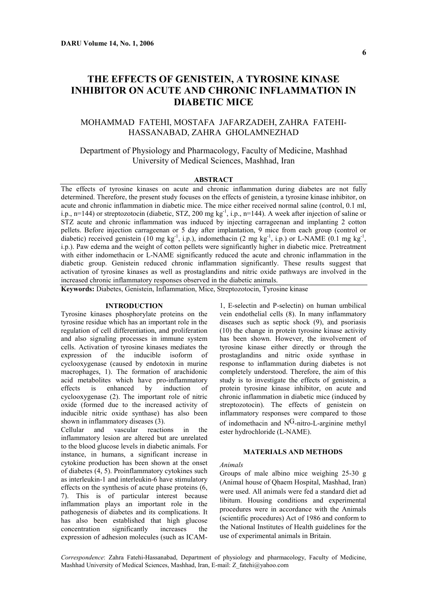# **THE EFFECTS OF GENISTEIN, A TYROSINE KINASE INHIBITOR ON ACUTE AND CHRONIC INFLAMMATION IN DIABETIC MICE**

## MOHAMMAD FATEHI, MOSTAFA JAFARZADEH, ZAHRA FATEHI-HASSANABAD, ZAHRA GHOLAMNEZHAD

## Department of Physiology and Pharmacology, Faculty of Medicine, Mashhad University of Medical Sciences, Mashhad, Iran

## **ABSTRACT**

The effects of tyrosine kinases on acute and chronic inflammation during diabetes are not fully determined. Therefore, the present study focuses on the effects of genistein, a tyrosine kinase inhibitor, on acute and chronic inflammation in diabetic mice. The mice either received normal saline (control, 0.1 ml, i.p., n=144) or streptozotocin (diabetic, STZ, 200 mg kg<sup>-1</sup>, i.p., n=144). A week after injection of saline or STZ acute and chronic inflammation was induced by injecting carrageenan and implanting 2 cotton pellets. Before injection carrageenan or 5 day after implantation, 9 mice from each group (control or diabetic) received genistein (10 mg kg<sup>-1</sup>, i.p.), indomethacin (2 mg kg<sup>-1</sup>, i.p.) or L-NAME (0.1 mg kg<sup>-1</sup>, i.p.). Paw edema and the weight of cotton pellets were significantly higher in diabetic mice. Pretreatment with either indomethacin or L-NAME significantly reduced the acute and chronic inflammation in the diabetic group. Genistein reduced chronic inflammation significantly. These results suggest that activation of tyrosine kinases as well as prostaglandins and nitric oxide pathways are involved in the increased chronic inflammatory responses observed in the diabetic animals.

**Keywords:** Diabetes, Genistein, Inflammation, Mice, Streptozotocin, Tyrosine kinase

## **INTRODUCTION**

Tyrosine kinases phosphorylate proteins on the tyrosine residue which has an important role in the regulation of cell differentiation, and proliferation and also signaling processes in immune system cells. Activation of tyrosine kinases mediates the expression of the inducible isoform of cyclooxygenase (caused by endotoxin in murine macrophages, 1). The formation of arachidonic acid metabolites which have pro-inflammatory effects is enhanced by induction of cyclooxygenase (2). The important role of nitric oxide (formed due to the increased activity of inducible nitric oxide synthase) has also been shown in inflammatory diseases (3).

Cellular and vascular reactions in the inflammatory lesion are altered but are unrelated to the blood glucose levels in diabetic animals. For instance, in humans, a significant increase in cytokine production has been shown at the onset of diabetes (4, 5). Proinflammatory cytokines such as interleukin-1 and interleukin-6 have stimulatory effects on the synthesis of acute phase proteins (6, 7). This is of particular interest because inflammation plays an important role in the pathogenesis of diabetes and its complications. It has also been established that high glucose concentration significantly increases the expression of adhesion molecules (such as ICAM-

1, E-selectin and P-selectin) on human umbilical vein endothelial cells (8). In many inflammatory diseases such as septic shock (9), and psoriasis (10) the change in protein tyrosine kinase activity has been shown. However, the involvement of tyrosine kinase either directly or through the prostaglandins and nitric oxide synthase in response to inflammation during diabetes is not completely understood. Therefore, the aim of this study is to investigate the effects of genistein, a protein tyrosine kinase inhibitor, on acute and chronic inflammation in diabetic mice (induced by streptozotocin). The effects of genistein on inflammatory responses were compared to those of indomethacin and  $N<sup>G</sup>$ -nitro-L-arginine methyl ester hydrochloride (L-NAME).

## **MATERIALS AND METHODS**

## *Animals*

Groups of male albino mice weighing 25-30 g (Animal house of Qhaem Hospital, Mashhad, Iran) were used. All animals were fed a standard diet ad libitum. Housing conditions and experimental procedures were in accordance with the Animals (scientific procedures) Act of 1986 and conform to the National Institutes of Health guidelines for the use of experimental animals in Britain.

*Correspondence*: Zahra Fatehi-Hassanabad, Department of physiology and pharmacology, Faculty of Medicine, Mashhad University of Medical Sciences, Mashhad, Iran, E-mail: Z\_fatehi@yahoo.com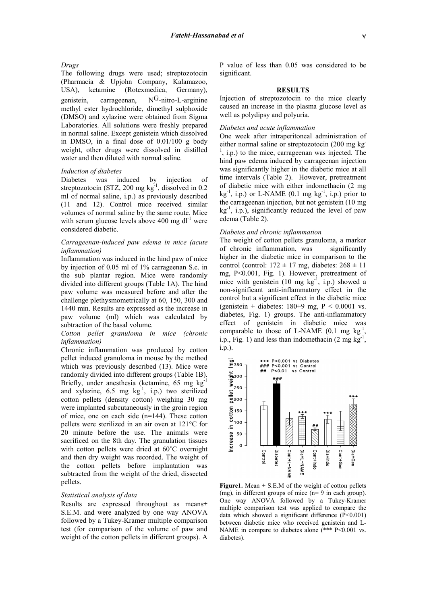## *Drugs*

The following drugs were used; streptozotocin (Pharmacia & Upjohn Company, Kalamazoo, USA), ketamine (Rotexmedica, Germany), genistein, carrageenan,  $N<sup>G</sup>$ -nitro-L-arginine methyl ester hydrochloride, dimethyl sulphoxide (DMSO) and xylazine were obtained from Sigma Laboratories. All solutions were freshly prepared in normal saline. Except genistein which dissolved in DMSO, in a final dose of 0.01/100 g body weight, other drugs were dissolved in distilled water and then diluted with normal saline.

## *Induction of diabetes*

Diabetes was induced by injection of streptozotocin (STZ, 200 mg  $kg^{-1}$ , dissolved in 0.2 ml of normal saline, i.p.) as previously described (11 and 12). Control mice received similar volumes of normal saline by the same route. Mice with serum glucose levels above 400 mg dl<sup>-1</sup> were considered diabetic.

## *Carrageenan-induced paw edema in mice (acute inflammation)*

Inflammation was induced in the hind paw of mice by injection of 0.05 ml of 1% carrageenan S.c. in the sub plantar region. Mice were randomly divided into different groups (Table 1A). The hind paw volume was measured before and after the challenge plethysmometrically at 60, 150, 300 and 1440 min. Results are expressed as the increase in paw volume (ml) which was calculated by subtraction of the basal volume.

## *Cotton pellet granuloma in mice (chronic inflammation)*

Chronic inflammation was produced by cotton pellet induced granuloma in mouse by the method which was previously described (13). Mice were randomly divided into different groups (Table 1B). Briefly, under anesthesia (ketamine, 65 mg kg-1 and xylazine,  $6.5 \text{ mg kg}^{-1}$ , i.p.) two sterilized cotton pellets (density cotton) weighing 30 mg were implanted subcutaneously in the groin region of mice, one on each side (n=144). These cotton pellets were sterilized in an air oven at 121°C for 20 minute before the use. The animals were sacrificed on the 8th day. The granulation tissues with cotton pellets were dried at  $60^{\circ}$ C overnight and then dry weight was recorded. The weight of the cotton pellets before implantation was subtracted from the weight of the dried, dissected pellets.

#### *Statistical analysis of data*

Results are expressed throughout as means± S.E.M. and were analyzed by one way ANOVA followed by a Tukey-Kramer multiple comparison test (for comparison of the volume of paw and weight of the cotton pellets in different groups). A P value of less than 0.05 was considered to be significant.

### **RESULTS**

Injection of streptozotocin to the mice clearly caused an increase in the plasma glucose level as well as polydipsy and polyuria.

#### *Diabetes and acute inflammation*

One week after intraperitoneal administration of either normal saline or streptozotocin (200 mg kg-1 , i.p.) to the mice, carrageenan was injected. The hind paw edema induced by carrageenan injection was significantly higher in the diabetic mice at all time intervals (Table 2). However, pretreatment of diabetic mice with either indomethacin (2 mg  $kg^{-1}$ , i.p.) or L-NAME (0.1 mg  $kg^{-1}$ , i.p.) prior to the carrageenan injection, but not genistein (10 mg  $kg^{-1}$ , i.p.), significantly reduced the level of paw edema (Table 2).

## *Diabetes and chronic inflammation*

The weight of cotton pellets granuloma, a marker of chronic inflammation, was significantly higher in the diabetic mice in comparison to the control (control:  $172 \pm 17$  mg, diabetes:  $268 \pm 11$ mg, P<0.001, Fig. 1). However, pretreatment of mice with genistein  $(10 \text{ mg kg}^{-1}, 1 \text{ p.})$  showed a non-significant anti-inflammatory effect in the control but a significant effect in the diabetic mice (genistein + diabetes:  $180±9$  mg,  $P < 0.0001$  vs. diabetes, Fig. 1) groups. The anti-inflammatory effect of genistein in diabetic mice was comparable to those of L-NAME  $(0.1 \text{ mg kg}^{-1})$ i.p., Fig. 1) and less than indomethacin  $(2 \text{ mg kg}^{-1})$ , i.p.).



**Figure1.** Mean  $\pm$  S.E.M of the weight of cotton pellets (mg), in different groups of mice (n= 9 in each group). One way ANOVA followed by a Tukey-Kramer multiple comparison test was applied to compare the data which showed a significant difference  $(P<0.001)$ between diabetic mice who received genistein and L-NAME in compare to diabetes alone (\*\*\* P<0.001 vs. diabetes).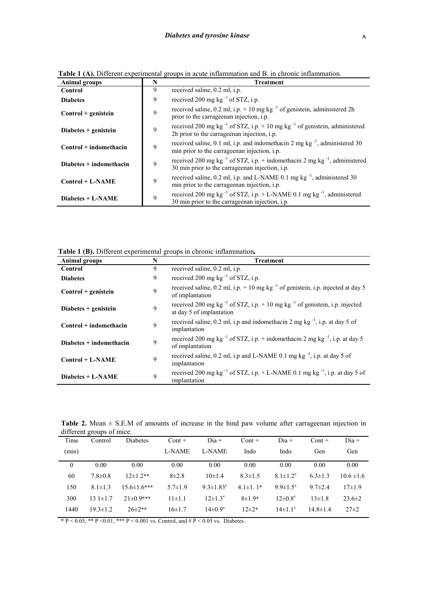| <b>Animal groups</b>      | N           | <b>Treatment</b>                                                                                                                                    |  |  |  |  |
|---------------------------|-------------|-----------------------------------------------------------------------------------------------------------------------------------------------------|--|--|--|--|
| Control                   | 9           | received saline, 0.2 ml, i.p.                                                                                                                       |  |  |  |  |
| <b>Diabetes</b>           | 9           | received 200 mg kg $^{-1}$ of STZ, i.p.                                                                                                             |  |  |  |  |
| $Control + genistein$     | 9           | received saline, 0.2 ml, i.p. $+10$ mg kg <sup>-1</sup> of genistein, administered 2h<br>prior to the carrage enan injection, i.p.                  |  |  |  |  |
| Diabetes $+$ genistein    | 9           | received 200 mg kg <sup>-1</sup> of STZ, i.p. $+10$ mg kg <sup>-1</sup> of genistein, administered<br>2h prior to the carrageman injection, i.p.    |  |  |  |  |
| $Control + indomethacin$  | $\mathbf Q$ | received saline, 0.1 ml, i.p. and indomethacin 2 mg $kg^{-1}$ , administered 30<br>min prior to the carrageenan injection, i.p.                     |  |  |  |  |
| $Diabetes + indomethacin$ | 9           | received 200 mg kg <sup>-1</sup> of STZ, i.p. + indomethacin 2 mg kg <sup>-1</sup> , administered<br>30 min prior to the carrageman injection, i.p. |  |  |  |  |
| $Control + L-NAME$        | 9           | received saline, 0.2 ml, i.p. and L-NAME 0.1 mg kg <sup>-1</sup> , administered 30<br>min prior to the carrageman injection, i.p.                   |  |  |  |  |
| $Diabetes + L-NAME$       | 9           | received 200 mg kg $^{-1}$ of STZ, i.p. + L-NAME 0.1 mg kg $^{-1}$ , administered<br>30 min prior to the carrageman injection, i.p.                 |  |  |  |  |

**Table 1 (A).** Different experimental groups in acute inflammation and B. in chronic inflammation.

**Table 1 (B).** Different experimental groups in chronic inflammation*.*

| <b>Animal groups</b>     | N | <b>Treatment</b>                                                                                                      |  |  |  |  |
|--------------------------|---|-----------------------------------------------------------------------------------------------------------------------|--|--|--|--|
| Control                  | 9 | received saline, 0.2 ml, i.p.                                                                                         |  |  |  |  |
| <b>Diabetes</b>          | 9 | received 200 mg kg $^{-1}$ of STZ, i.p.                                                                               |  |  |  |  |
| $Control + genistein$    | 9 | received saline, 0.2 ml, i.p. + 10 mg kg $^{-1}$ of genistein, i.p. injected at day 5<br>of implantation              |  |  |  |  |
| Diabetes $+$ genistein   | 9 | received 200 mg kg $^{-1}$ of STZ, i.p. + 10 mg kg $^{-1}$ of genistein, i.p. injected<br>at day 5 of implantation    |  |  |  |  |
| $Control + indomethacin$ | 9 | received saline, 0.2 ml, i.p and indomethacin 2 mg kg <sup>-1</sup> , i.p. at day 5 of<br>implantation                |  |  |  |  |
| Diabetes + indomethacin  | 9 | received 200 mg kg <sup>-1</sup> of STZ, i.p. + indomethacin 2 mg kg <sup>-1</sup> , i.p. at day 5<br>of implantation |  |  |  |  |
| $Control + L-NAME$       | 9 | received saline, $0.2$ ml, i.p and L-NAME $0.1$ mg kg <sup>-1</sup> , i.p. at day 5 of<br>implantation                |  |  |  |  |
| Diabetes + L-NAME        | 9 | received 200 mg kg $^{-1}$ of STZ, i.p. + L-NAME 0.1 mg kg $^{-1}$ , i.p. at day 5 of<br>implantation                 |  |  |  |  |

Table 2. Mean  $\pm$  S.E.M of amounts of increase in the hind paw volume after carrageenan injection in different groups of mice.

| Time             | Control        | Diabetes        | $Cont +$      | $Dia +$                     | $Cont +$        | $Di^{\dagger}$             | $Cont +$       | $Di^{\dagger}$ |
|------------------|----------------|-----------------|---------------|-----------------------------|-----------------|----------------------------|----------------|----------------|
| (min)            |                |                 | L-NAME        | L-NAME                      | Indo            | Indo                       | Gen            | Gen            |
| $\boldsymbol{0}$ | 0.00           | 0.00            | 0.00          | 0.00                        | 0.00            | 0.00                       | 0.00           | 0.00           |
| 60               | $7.8 \pm 0.8$  | $12\pm1.2**$    | $8\pm2.8$     | $10\pm1.4$                  | $8.3 \pm 1.5$   | $8.1 \pm 1.2$ <sup>#</sup> | $6.3 \pm 1.3$  | $10.6 \pm 1.6$ |
| 150              | $8.1 \pm 1.3$  | $15.6\pm1.6***$ | $5.7 \pm 1.9$ | $9.3 \pm 1.83$ <sup>#</sup> | $4.1 \pm 1.1^*$ | 9 9 $\pm$ 1 5 <sup>#</sup> | $9.7 \pm 2.4$  | $17\pm1.9$     |
| 300              | $131 \pm 1.7$  | $21\pm0.9***$   | $11 \pm 1.1$  | $12\pm1.3^{\#}$             | $8 \pm 1.9*$    | $12\pm 0.8$                | $13\pm1.8$     | $23.6 \pm 2$   |
| 1440             | $19.3 \pm 1.2$ | $26\pm2**$      | $16 \pm 1.7$  | $14\pm 0.9^{\#}$            | $12\pm2*$       | $14\pm1.1^{\#}$            | $14.8 \pm 1.4$ | $27\pm 2$      |

\* P < 0.05, \*\* P < 0.01, \*\*\* P < 0.001 vs. Control, and  $\#$  P < 0.05 vs. Diabetes.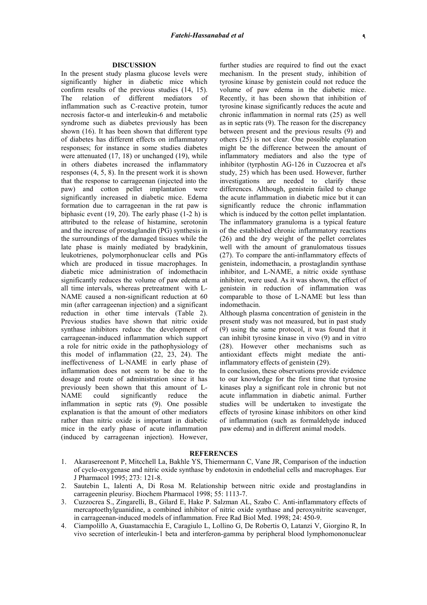## **DISCUSSION**

In the present study plasma glucose levels were significantly higher in diabetic mice which confirm results of the previous studies (14, 15). The relation of different mediators of inflammation such as C-reactive protein, tumor necrosis factor- $\alpha$  and interleukin-6 and metabolic syndrome such as diabetes previously has been shown (16). It has been shown that different type of diabetes has different effects on inflammatory responses; for instance in some studies diabetes were attenuated (17, 18) or unchanged (19), while in others diabetes increased the inflammatory responses (4, 5, 8). In the present work it is shown that the response to carrageenan (injected into the paw) and cotton pellet implantation were significantly increased in diabetic mice. Edema formation due to carrageenan in the rat paw is biphasic event (19, 20). The early phase (1-2 h) is attributed to the release of histamine, serotonin and the increase of prostaglandin (PG) synthesis in the surroundings of the damaged tissues while the late phase is mainly mediated by bradykinin, leukotrienes, polymorphonuclear cells and PGs which are produced in tissue macrophages. In diabetic mice administration of indomethacin significantly reduces the volume of paw edema at all time intervals, whereas pretreatment with L-NAME caused a non-significant reduction at 60 min (after carrageenan injection) and a significant reduction in other time intervals (Table 2). Previous studies have shown that nitric oxide synthase inhibitors reduce the development of carrageenan-induced inflammation which support a role for nitric oxide in the pathophysiology of this model of inflammation (22, 23, 24). The ineffectiveness of L-NAME in early phase of inflammation does not seem to be due to the dosage and route of administration since it has previously been shown that this amount of L-NAME could significantly reduce the inflammation in septic rats (9). One possible explanation is that the amount of other mediators rather than nitric oxide is important in diabetic mice in the early phase of acute inflammation (induced by carrageenan injection). However,

further studies are required to find out the exact mechanism. In the present study, inhibition of tyrosine kinase by genistein could not reduce the volume of paw edema in the diabetic mice. Recently, it has been shown that inhibition of tyrosine kinase significantly reduces the acute and chronic inflammation in normal rats (25) as well as in septic rats (9). The reason for the discrepancy between present and the previous results (9) and others (25) is not clear. One possible explanation might be the difference between the amount of inflammatory mediators and also the type of inhibitor (tyrphostin AG-126 in Cuzzocrea et al's study, 25) which has been used. However, further investigations are needed to clarify these differences. Although, genistein failed to change the acute inflammation in diabetic mice but it can significantly reduce the chronic inflammation which is induced by the cotton pellet implantation. The inflammatory granuloma is a typical feature of the established chronic inflammatory reactions (26) and the dry weight of the pellet correlates well with the amount of granulomatous tissues (27). To compare the anti-inflammatory effects of genistein, indomethacin, a prostaglandin synthase inhibitor, and L-NAME, a nitric oxide synthase inhibitor, were used. As it was shown, the effect of genistein in reduction of inflammation was comparable to those of L-NAME but less than indomethacin.

Although plasma concentration of genistein in the present study was not measured, but in past study (9) using the same protocol, it was found that it can inhibit tyrosine kinase in vivo (9) and in vitro (28). However other mechanisms such as antioxidant effects might mediate the antiinflammatory effects of genistein (29).

In conclusion, these observations provide evidence to our knowledge for the first time that tyrosine kinases play a significant role in chronic but not acute inflammation in diabetic animal. Further studies will be undertaken to investigate the effects of tyrosine kinase inhibitors on other kind of inflammation (such as formaldehyde induced paw edema) and in different animal models.

#### **REFERENCES**

- 1. Akarasereenont P, Mitcchell La, Bakhle YS, Thiemermann C, Vane JR, Comparison of the induction of cyclo-oxygenase and nitric oxide synthase by endotoxin in endothelial cells and macrophages. Eur J Pharmacol 1995; 273: 121-8.
- 2. Sautebin L, Ialenti A, Di Rosa M. Relationship between nitric oxide and prostaglandins in carrageenin pleurisy. Biochem Pharmacol 1998; 55: 1113-7.
- 3. Cuzzocrea S., Zingarelli, B., Gilard E, Hake P. Salzman AL, Szabo C. Anti-inflammatory effects of mercaptoethylguanidine, a combined inhibitor of nitric oxide synthase and peroxynitrite scavenger, in carrageenan-induced models of inflammation. Free Rad Biol Med. 1998; 24: 450-9.
- 4. Ciampolillo A, Guastamacchia E, Caragiulo L, Lollino G, De Robertis O, Latanzi V, Giorgino R, In vivo secretion of interleukin-1 beta and interferon-gamma by peripheral blood lymphomononuclear